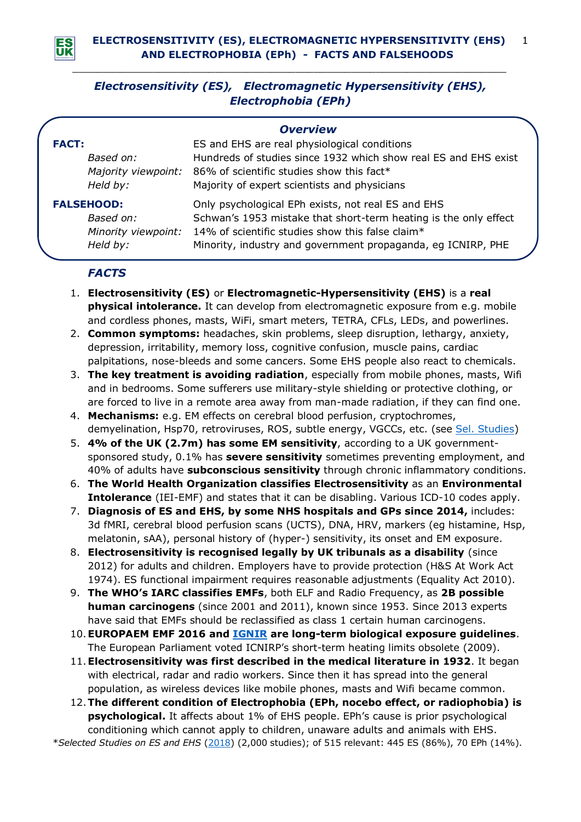

# *Electrosensitivity (ES), Electromagnetic Hypersensitivity (EHS), Electrophobia (EPh)*

*\_\_\_\_\_\_\_\_\_\_\_\_\_\_\_\_\_\_\_\_\_\_\_\_\_\_\_\_\_\_\_\_\_\_\_\_\_\_\_\_\_\_\_\_\_\_\_\_\_\_\_\_\_\_\_\_\_\_\_\_\_\_\_\_\_\_\_\_\_\_*

| <b>Overview</b>     |                                                                  |
|---------------------|------------------------------------------------------------------|
| <b>FACT:</b>        | ES and EHS are real physiological conditions                     |
| Based on:           | Hundreds of studies since 1932 which show real ES and EHS exist  |
| Majority viewpoint: | 86% of scientific studies show this fact*                        |
| Held by:            | Majority of expert scientists and physicians                     |
| <b>FALSEHOOD:</b>   | Only psychological EPh exists, not real ES and EHS               |
| Based on:           | Schwan's 1953 mistake that short-term heating is the only effect |
| Minority viewpoint: | 14% of scientific studies show this false claim*                 |
| Held by:            | Minority, industry and government propaganda, eg ICNIRP, PHE     |

### *FACTS*

- 1. **Electrosensitivity (ES)** or **Electromagnetic-Hypersensitivity (EHS)** is a **real physical intolerance.** It can develop from electromagnetic exposure from e.g. mobile and cordless phones, masts, WiFi, smart meters, TETRA, CFLs, LEDs, and powerlines.
- 2. **Common symptoms:** headaches, skin problems, sleep disruption, lethargy, anxiety, depression, irritability, memory loss, cognitive confusion, muscle pains, cardiac palpitations, nose-bleeds and some cancers. Some EHS people also react to chemicals.
- 3. **The key treatment is avoiding radiation**, especially from mobile phones, masts, Wifi and in bedrooms. Some sufferers use military-style shielding or protective clothing, or are forced to live in a remote area away from man-made radiation, if they can find one.
- 4. **Mechanisms:** e.g. EM effects on cerebral blood perfusion, cryptochromes, demyelination, Hsp70, retroviruses, ROS, subtle energy, VGCCs, etc. (see Sel. [Studies\)](http://www.es-uk.info/wp-content/uploads/2018/11/02.3-Selected-ES-and-EHS-Studies-2018.pdf)
- 5. **4% of the UK (2.7m) has some EM sensitivity**, according to a UK governmentsponsored study, 0.1% has **severe sensitivity** sometimes preventing employment, and 40% of adults have **subconscious sensitivity** through chronic inflammatory conditions.
- 6. **The World Health Organization classifies Electrosensitivity** as an **Environmental Intolerance** (IEI-EMF) and states that it can be disabling. Various ICD-10 codes apply.
- 7. **Diagnosis of ES and EHS, by some NHS hospitals and GPs since 2014,** includes: 3d fMRI, cerebral blood perfusion scans (UCTS), DNA, HRV, markers (eg histamine, Hsp, melatonin, sAA), personal history of (hyper-) sensitivity, its onset and EM exposure.
- 8. **Electrosensitivity is recognised legally by UK tribunals as a disability** (since 2012) for adults and children. Employers have to provide protection (H&S At Work Act 1974). ES functional impairment requires reasonable adjustments (Equality Act 2010).
- 9. **The WHO's IARC classifies EMFs**, both ELF and Radio Frequency, as **2B possible human carcinogens** (since 2001 and 2011), known since 1953. Since 2013 experts have said that EMFs should be reclassified as class 1 certain human carcinogens.
- 10.**EUROPAEM EMF 2016 and [IGNIR](https://www.ignir.org/) are long-term biological exposure guidelines**. The European Parliament voted ICNIRP's short-term heating limits obsolete (2009).
- 11.**Electrosensitivity was first described in the medical literature in 1932**. It began with electrical, radar and radio workers. Since then it has spread into the general population, as wireless devices like mobile phones, masts and Wifi became common.
- 12.**The different condition of Electrophobia (EPh, nocebo effect, or radiophobia) is psychological.** It affects about 1% of EHS people. EPh's cause is prior psychological conditioning which cannot apply to children, unaware adults and animals with EHS. \**Selected Studies on ES and EHS* [\(2018\)](http://www.es-uk.info/wp-content/uploads/2018/11/02.3-Selected-ES-and-EHS-Studies-2018.pdf) (2,000 studies); of 515 relevant: 445 ES (86%), 70 EPh (14%).